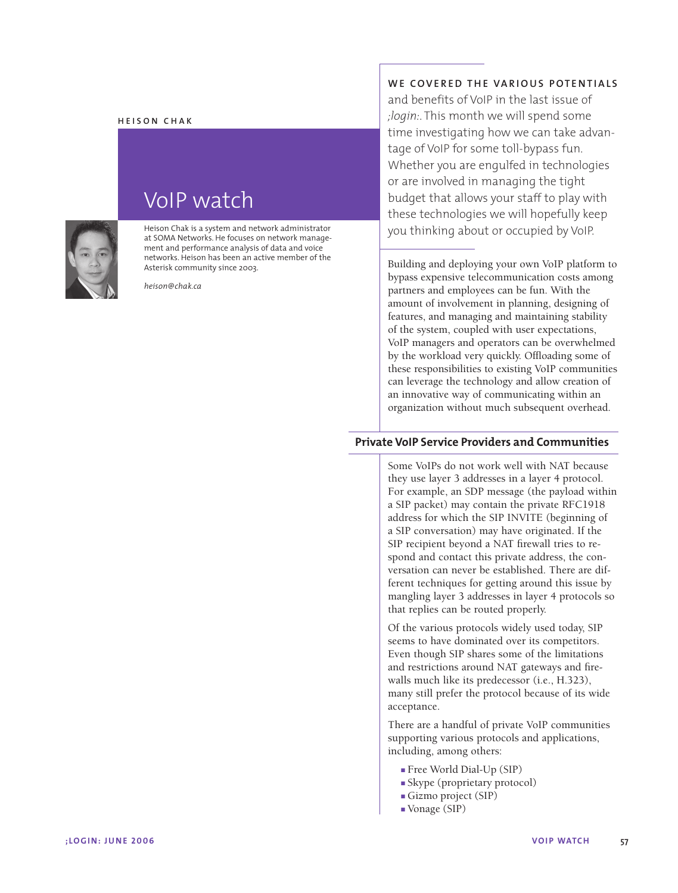#### **HEISON CHAK**



# VoIP watch

Heison Chak is a system and network administrator at SOMA Networks. He focuses on network management and performance analysis of data and voice networks. Heison has been an active member of the Asterisk community since 2003.

*heison@chak.ca*

## **WE COVERED THE VARIOUS POTENTIALS**

and benefits of VoIP in the last issue of *;login:*. This month we will spend some time investigating how we can take advantage of VoIP for some toll-bypass fun. Whether you are engulfed in technologies or are involved in managing the tight budget that allows your staff to play with these technologies we will hopefully keep you thinking about or occupied by VoIP.

Building and deploying your own VoIP platform to bypass expensive telecommunication costs among partners and employees can be fun. With the amount of involvement in planning, designing of features, and managing and maintaining stability of the system, coupled with user expectations, VoIP managers and operators can be overwhelmed by the workload very quickly. Offloading some of these responsibilities to existing VoIP communities can leverage the technology and allow creation of an innovative way of communicating within an organization without much subsequent overhead.

## **Private VoIP Service Providers and Communities**

Some VoIPs do not work well with NAT because they use layer 3 addresses in a layer 4 protocol. For example, an SDP message (the payload within a SIP packet) may contain the private RFC1918 address for which the SIP INVITE (beginning of a SIP conversation) may have originated. If the SIP recipient beyond a NAT firewall tries to respond and contact this private address, the conversation can never be established. There are different techniques for getting around this issue by mangling layer 3 addresses in layer 4 protocols so that replies can be routed properly.

Of the various protocols widely used today, SIP seems to have dominated over its competitors. Even though SIP shares some of the limitations and restrictions around NAT gateways and firewalls much like its predecessor (i.e., H.323), many still prefer the protocol because of its wide acceptance.

There are a handful of private VoIP communities supporting various protocols and applications, including, among others:

- Free World Dial-Up (SIP)
- Skype (proprietary protocol)
- Gizmo project (SIP)
- Vonage (SIP)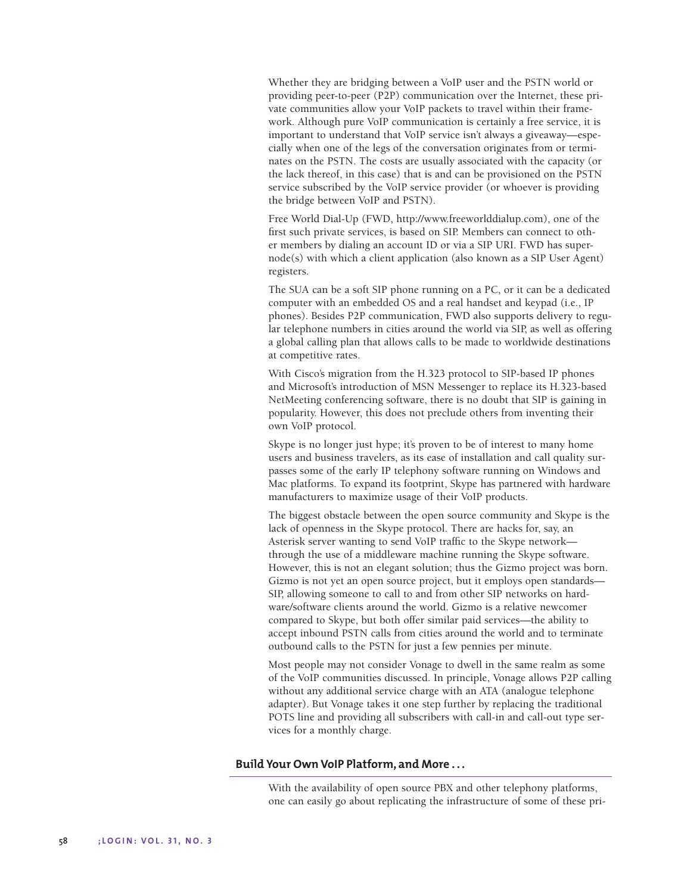Whether they are bridging between a VoIP user and the PSTN world or providing peer-to-peer (P2P) communication over the Internet, these private communities allow your VoIP packets to travel within their framework. Although pure VoIP communication is certainly a free service, it is important to understand that VoIP service isn't always a giveaway—especially when one of the legs of the conversation originates from or terminates on the PSTN. The costs are usually associated with the capacity (or the lack thereof, in this case) that is and can be provisioned on the PSTN service subscribed by the VoIP service provider (or whoever is providing the bridge between VoIP and PSTN).

Free World Dial-Up (FWD, http://www.freeworlddialup.com), one of the first such private services, is based on SIP. Members can connect to other members by dialing an account ID or via a SIP URI. FWD has supernode(s) with which a client application (also known as a SIP User Agent) registers.

The SUA can be a soft SIP phone running on a PC, or it can be a dedicated computer with an embedded OS and a real handset and keypad (i.e., IP phones). Besides P2P communication, FWD also supports delivery to regular telephone numbers in cities around the world via SIP, as well as offering a global calling plan that allows calls to be made to worldwide destinations at competitive rates.

With Cisco's migration from the H.323 protocol to SIP-based IP phones and Microsoft's introduction of MSN Messenger to replace its H.323-based NetMeeting conferencing software, there is no doubt that SIP is gaining in popularity. However, this does not preclude others from inventing their own VoIP protocol.

Skype is no longer just hype; it's proven to be of interest to many home users and business travelers, as its ease of installation and call quality surpasses some of the early IP telephony software running on Windows and Mac platforms. To expand its footprint, Skype has partnered with hardware manufacturers to maximize usage of their VoIP products.

The biggest obstacle between the open source community and Skype is the lack of openness in the Skype protocol. There are hacks for, say, an Asterisk server wanting to send VoIP traffic to the Skype network through the use of a middleware machine running the Skype software. However, this is not an elegant solution; thus the Gizmo project was born. Gizmo is not yet an open source project, but it employs open standards— SIP, allowing someone to call to and from other SIP networks on hardware/software clients around the world. Gizmo is a relative newcomer compared to Skype, but both offer similar paid services—the ability to accept inbound PSTN calls from cities around the world and to terminate outbound calls to the PSTN for just a few pennies per minute.

Most people may not consider Vonage to dwell in the same realm as some of the VoIP communities discussed. In principle, Vonage allows P2P calling without any additional service charge with an ATA (analogue telephone adapter). But Vonage takes it one step further by replacing the traditional POTS line and providing all subscribers with call-in and call-out type services for a monthly charge.

#### **Build Your Own VoIP Platform, and More . . .**

With the availability of open source PBX and other telephony platforms, one can easily go about replicating the infrastructure of some of these pri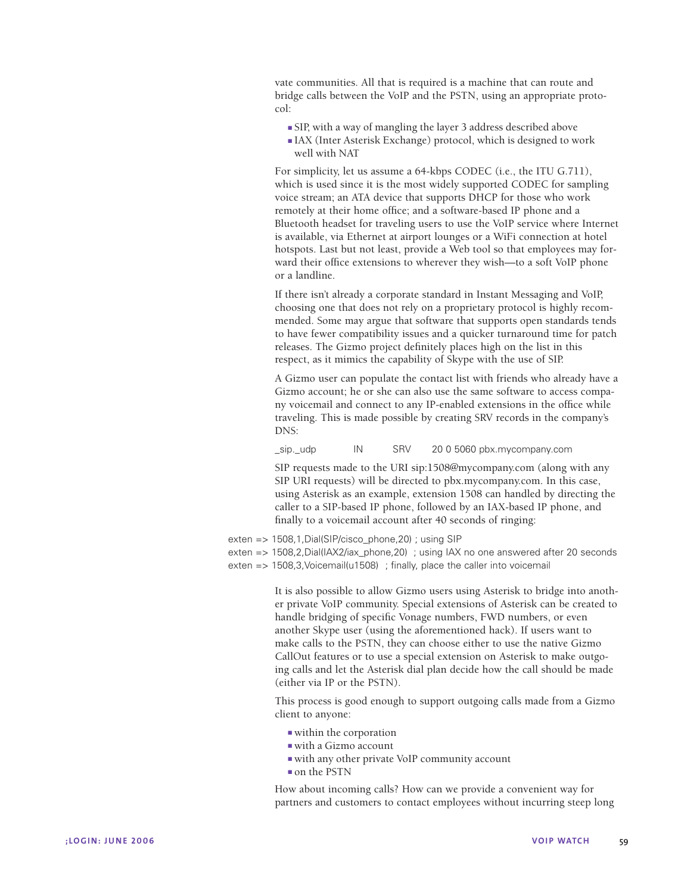vate communities. All that is required is a machine that can route and bridge calls between the VoIP and the PSTN, using an appropriate protocol:

- SIP, with a way of mangling the layer 3 address described above
- IAX (Inter Asterisk Exchange) protocol, which is designed to work well with NAT

For simplicity, let us assume a 64-kbps CODEC (i.e., the ITU G.711), which is used since it is the most widely supported CODEC for sampling voice stream; an ATA device that supports DHCP for those who work remotely at their home office; and a software-based IP phone and a Bluetooth headset for traveling users to use the VoIP service where Internet is available, via Ethernet at airport lounges or a WiFi connection at hotel hotspots. Last but not least, provide a Web tool so that employees may forward their office extensions to wherever they wish—to a soft VoIP phone or a landline.

If there isn't already a corporate standard in Instant Messaging and VoIP, choosing one that does not rely on a proprietary protocol is highly recommended. Some may argue that software that supports open standards tends to have fewer compatibility issues and a quicker turnaround time for patch releases. The Gizmo project definitely places high on the list in this respect, as it mimics the capability of Skype with the use of SIP.

A Gizmo user can populate the contact list with friends who already have a Gizmo account; he or she can also use the same software to access company voicemail and connect to any IP-enabled extensions in the office while traveling. This is made possible by creating SRV records in the company's DNS:

\_sip.\_udp IN SRV 20 0 5060 pbx.mycompany.com

SIP requests made to the URI sip:1508@mycompany.com (along with any SIP URI requests) will be directed to pbx.mycompany.com. In this case, using Asterisk as an example, extension 1508 can handled by directing the caller to a SIP-based IP phone, followed by an IAX-based IP phone, and finally to a voicemail account after 40 seconds of ringing:

- exten => 1508,1,Dial(SIP/cisco\_phone,20) ; using SIP
- exten => 1508,2,Dial(IAX2/iax\_phone,20) ; using IAX no one answered after 20 seconds
- exten => 1508,3,Voicemail(u1508) ; finally, place the caller into voicemail

It is also possible to allow Gizmo users using Asterisk to bridge into another private VoIP community. Special extensions of Asterisk can be created to handle bridging of specific Vonage numbers, FWD numbers, or even another Skype user (using the aforementioned hack). If users want to make calls to the PSTN, they can choose either to use the native Gizmo CallOut features or to use a special extension on Asterisk to make outgoing calls and let the Asterisk dial plan decide how the call should be made (either via IP or the PSTN).

This process is good enough to support outgoing calls made from a Gizmo client to anyone:

- within the corporation
- with a Gizmo account
- with any other private VoIP community account
- on the PSTN

How about incoming calls? How can we provide a convenient way for partners and customers to contact employees without incurring steep long